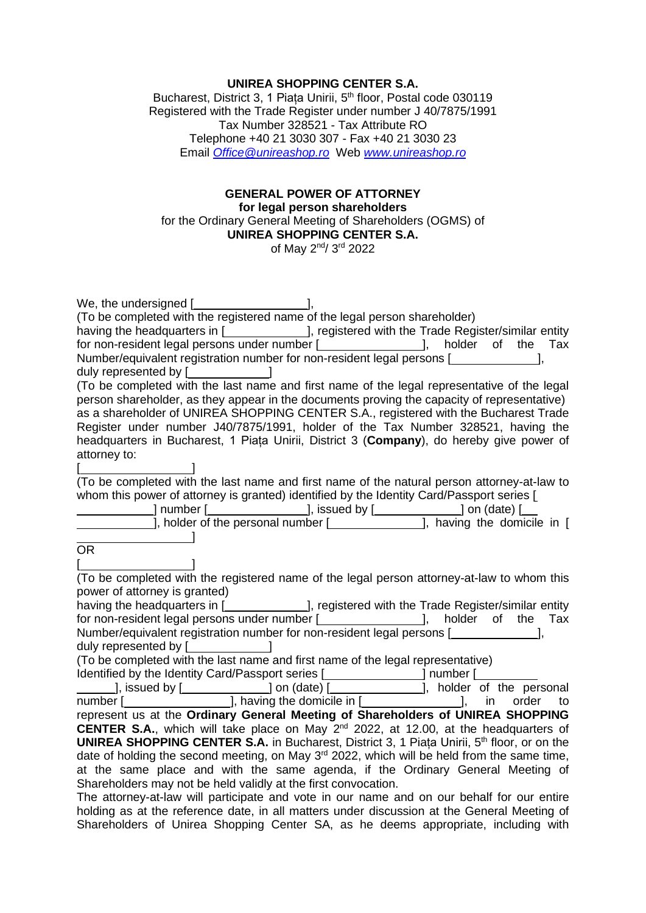## **UNIREA SHOPPING CENTER S.A.**

Bucharest, District 3, 1 Piața Unirii, 5<sup>th</sup> floor, Postal code 030119 Registered with the Trade Register under number J 40/7875/1991 Tax Number 328521 - Tax Attribute RO Telephone +40 21 3030 307 - Fax +40 21 3030 23 Email *[Office@unireashop.ro](mailto:Office@unireashop.ro)* Web *[www.unireashop.ro](http://www.unireashop.ro/)*

#### **GENERAL POWER OF ATTORNEY for legal person shareholders** for the Ordinary General Meeting of Shareholders (OGMS) of **UNIREA SHOPPING CENTER S.A.** of May 2<sup>nd</sup>/ 3<sup>rd</sup> 2022

| We, the undersigned [ <b>willer</b> [ <i>willering power</i> and <i>power</i> and <i>power</i> [ <i>j,</i>    |
|---------------------------------------------------------------------------------------------------------------|
| (To be completed with the registered name of the legal person shareholder)                                    |
| having the headquarters in [ <b>wickelengtherm of the State of the State</b> Register/similar entity          |
| for non-resident legal persons under number [ <b>wildle 10</b> ], holder of the Tax                           |
| Number/equivalent registration number for non-resident legal persons [                                        |
|                                                                                                               |
| (To be completed with the last name and first name of the legal representative of the legal                   |
| person shareholder, as they appear in the documents proving the capacity of representative)                   |
| as a shareholder of UNIREA SHOPPING CENTER S.A., registered with the Bucharest Trade                          |
| Register under number J40/7875/1991, holder of the Tax Number 328521, having the                              |
| headquarters in Bucharest, 1 Piata Unirii, District 3 (Company), do hereby give power of                      |
| attorney to:                                                                                                  |
|                                                                                                               |
| (To be completed with the last name and first name of the natural person attorney-at-law to                   |
| whom this power of attorney is granted) identified by the Identity Card/Passport series [                     |
|                                                                                                               |
|                                                                                                               |
|                                                                                                               |
| OR.                                                                                                           |
|                                                                                                               |
| (To be completed with the registered name of the legal person attorney-at-law to whom this                    |
| power of attorney is granted)                                                                                 |
| having the headquarters in [ <b>will cancelenge 13</b> , registered with the Trade Register/similar entity    |
| for non-resident legal persons under number [ <b>wildle 10</b> ], holder of the Tax                           |
| Number/equivalent registration number for non-resident legal persons [                                        |
| duly represented by [ <b>willedge</b> ]                                                                       |
| (To be completed with the last name and first name of the legal representative)                               |
| Identified by the Identity Card/Passport series [ <b>Conserver 1</b> number [Conserver 1                      |
|                                                                                                               |
|                                                                                                               |
| represent us at the Ordinary General Meeting of Shareholders of UNIREA SHOPPING                               |
| <b>CENTER S.A.</b> , which will take place on May $2^{nd}$ 2022, at 12.00, at the headquarters of             |
| <b>UNIREA SHOPPING CENTER S.A.</b> in Bucharest, District 3, 1 Piata Unirii, 5 <sup>th</sup> floor, or on the |
| date of holding the second meeting, on May 3 <sup>rd</sup> 2022, which will be held from the same time,       |
| at the same place and with the same agenda, if the Ordinary General Meeting of                                |
| Shareholders may not be held validly at the first convocation.                                                |
| The attorney-at-law will participate and vote in our name and on our behalf for our entire                    |

holding as at the reference date, in all matters under discussion at the General Meeting of Shareholders of Unirea Shopping Center SA, as he deems appropriate, including with